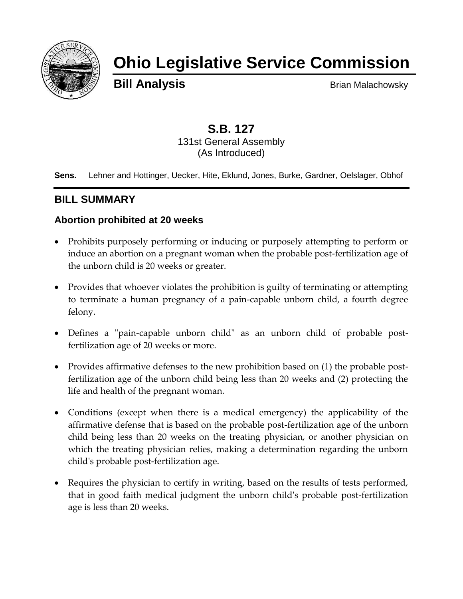

# **Ohio Legislative Service Commission**

**Bill Analysis** Brian Malachowsky

# **S.B. 127**

131st General Assembly (As Introduced)

**Sens.** Lehner and Hottinger, Uecker, Hite, Eklund, Jones, Burke, Gardner, Oelslager, Obhof

# **BILL SUMMARY**

# **Abortion prohibited at 20 weeks**

- Prohibits purposely performing or inducing or purposely attempting to perform or induce an abortion on a pregnant woman when the probable post-fertilization age of the unborn child is 20 weeks or greater.
- Provides that whoever violates the prohibition is guilty of terminating or attempting to terminate a human pregnancy of a pain-capable unborn child, a fourth degree felony.
- Defines a "pain-capable unborn child" as an unborn child of probable postfertilization age of 20 weeks or more.
- Provides affirmative defenses to the new prohibition based on (1) the probable postfertilization age of the unborn child being less than 20 weeks and (2) protecting the life and health of the pregnant woman.
- Conditions (except when there is a medical emergency) the applicability of the affirmative defense that is based on the probable post-fertilization age of the unborn child being less than 20 weeks on the treating physician, or another physician on which the treating physician relies, making a determination regarding the unborn child's probable post-fertilization age.
- Requires the physician to certify in writing, based on the results of tests performed, that in good faith medical judgment the unborn child's probable post-fertilization age is less than 20 weeks.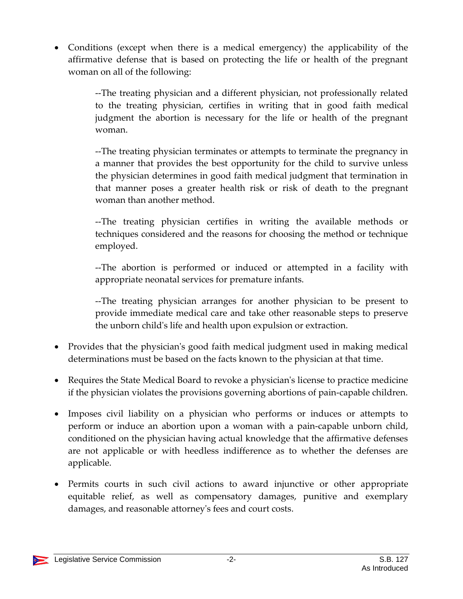Conditions (except when there is a medical emergency) the applicability of the affirmative defense that is based on protecting the life or health of the pregnant woman on all of the following:

> --The treating physician and a different physician, not professionally related to the treating physician, certifies in writing that in good faith medical judgment the abortion is necessary for the life or health of the pregnant woman.

> --The treating physician terminates or attempts to terminate the pregnancy in a manner that provides the best opportunity for the child to survive unless the physician determines in good faith medical judgment that termination in that manner poses a greater health risk or risk of death to the pregnant woman than another method.

> --The treating physician certifies in writing the available methods or techniques considered and the reasons for choosing the method or technique employed.

> --The abortion is performed or induced or attempted in a facility with appropriate neonatal services for premature infants.

> --The treating physician arranges for another physician to be present to provide immediate medical care and take other reasonable steps to preserve the unborn child's life and health upon expulsion or extraction.

- Provides that the physician's good faith medical judgment used in making medical determinations must be based on the facts known to the physician at that time.
- Requires the State Medical Board to revoke a physician's license to practice medicine if the physician violates the provisions governing abortions of pain-capable children.
- Imposes civil liability on a physician who performs or induces or attempts to perform or induce an abortion upon a woman with a pain-capable unborn child, conditioned on the physician having actual knowledge that the affirmative defenses are not applicable or with heedless indifference as to whether the defenses are applicable.
- Permits courts in such civil actions to award injunctive or other appropriate equitable relief, as well as compensatory damages, punitive and exemplary damages, and reasonable attorney's fees and court costs.

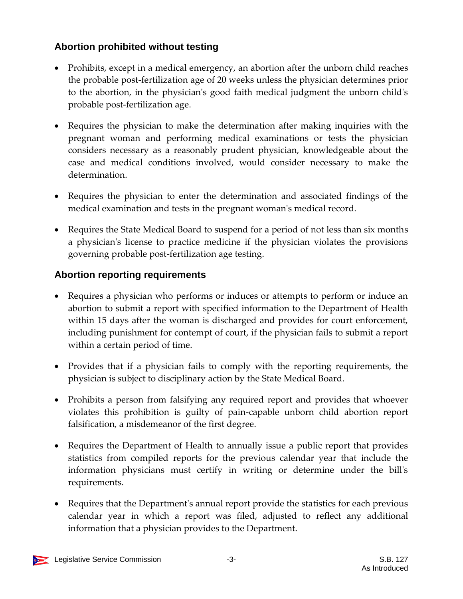# **Abortion prohibited without testing**

- Prohibits, except in a medical emergency, an abortion after the unborn child reaches the probable post-fertilization age of 20 weeks unless the physician determines prior to the abortion, in the physician's good faith medical judgment the unborn child's probable post-fertilization age.
- Requires the physician to make the determination after making inquiries with the pregnant woman and performing medical examinations or tests the physician considers necessary as a reasonably prudent physician, knowledgeable about the case and medical conditions involved, would consider necessary to make the determination.
- Requires the physician to enter the determination and associated findings of the medical examination and tests in the pregnant woman's medical record.
- Requires the State Medical Board to suspend for a period of not less than six months a physician's license to practice medicine if the physician violates the provisions governing probable post-fertilization age testing.

# **Abortion reporting requirements**

- Requires a physician who performs or induces or attempts to perform or induce an abortion to submit a report with specified information to the Department of Health within 15 days after the woman is discharged and provides for court enforcement, including punishment for contempt of court, if the physician fails to submit a report within a certain period of time.
- Provides that if a physician fails to comply with the reporting requirements, the physician is subject to disciplinary action by the State Medical Board.
- Prohibits a person from falsifying any required report and provides that whoever violates this prohibition is guilty of pain-capable unborn child abortion report falsification, a misdemeanor of the first degree.
- Requires the Department of Health to annually issue a public report that provides statistics from compiled reports for the previous calendar year that include the information physicians must certify in writing or determine under the bill's requirements.
- Requires that the Department's annual report provide the statistics for each previous calendar year in which a report was filed, adjusted to reflect any additional information that a physician provides to the Department.

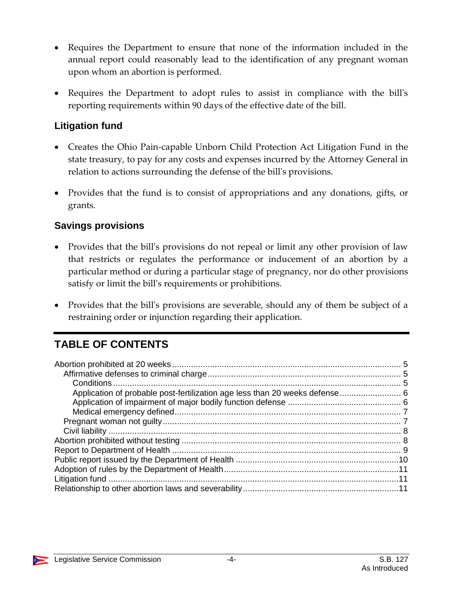- Requires the Department to ensure that none of the information included in the annual report could reasonably lead to the identification of any pregnant woman upon whom an abortion is performed.
- Requires the Department to adopt rules to assist in compliance with the bill's reporting requirements within 90 days of the effective date of the bill.

# **Litigation fund**

- Creates the Ohio Pain-capable Unborn Child Protection Act Litigation Fund in the state treasury, to pay for any costs and expenses incurred by the Attorney General in relation to actions surrounding the defense of the bill's provisions.
- Provides that the fund is to consist of appropriations and any donations, gifts, or grants.

## **Savings provisions**

- Provides that the bill's provisions do not repeal or limit any other provision of law that restricts or regulates the performance or inducement of an abortion by a particular method or during a particular stage of pregnancy, nor do other provisions satisfy or limit the bill's requirements or prohibitions.
- Provides that the bill's provisions are severable, should any of them be subject of a restraining order or injunction regarding their application.

# **TABLE OF CONTENTS**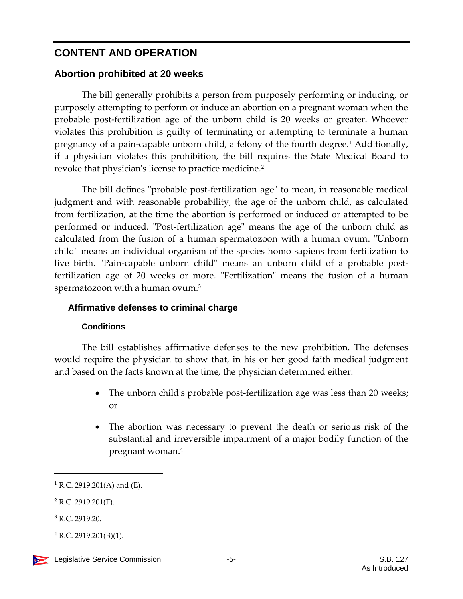# **CONTENT AND OPERATION**

# <span id="page-4-0"></span>**Abortion prohibited at 20 weeks**

The bill generally prohibits a person from purposely performing or inducing, or purposely attempting to perform or induce an abortion on a pregnant woman when the probable post-fertilization age of the unborn child is 20 weeks or greater. Whoever violates this prohibition is guilty of terminating or attempting to terminate a human pregnancy of a pain-capable unborn child, a felony of the fourth degree.<sup>1</sup> Additionally, if a physician violates this prohibition, the bill requires the State Medical Board to revoke that physician's license to practice medicine.<sup>2</sup>

The bill defines "probable post-fertilization age" to mean, in reasonable medical judgment and with reasonable probability, the age of the unborn child, as calculated from fertilization, at the time the abortion is performed or induced or attempted to be performed or induced. "Post-fertilization age" means the age of the unborn child as calculated from the fusion of a human spermatozoon with a human ovum. "Unborn child" means an individual organism of the species homo sapiens from fertilization to live birth. "Pain-capable unborn child" means an unborn child of a probable postfertilization age of 20 weeks or more. "Fertilization" means the fusion of a human spermatozoon with a human ovum.<sup>3</sup>

# <span id="page-4-1"></span>**Affirmative defenses to criminal charge**

## **Conditions**

<span id="page-4-2"></span>The bill establishes affirmative defenses to the new prohibition. The defenses would require the physician to show that, in his or her good faith medical judgment and based on the facts known at the time, the physician determined either:

- The unborn child's probable post-fertilization age was less than 20 weeks; or
- The abortion was necessary to prevent the death or serious risk of the substantial and irreversible impairment of a major bodily function of the pregnant woman.<sup>4</sup>

 $1$  R.C. 2919.201(A) and (E).

 $2$  R.C. 2919.201(F).

<sup>3</sup> R.C. 2919.20.

 $4$  R.C. 2919.201(B)(1).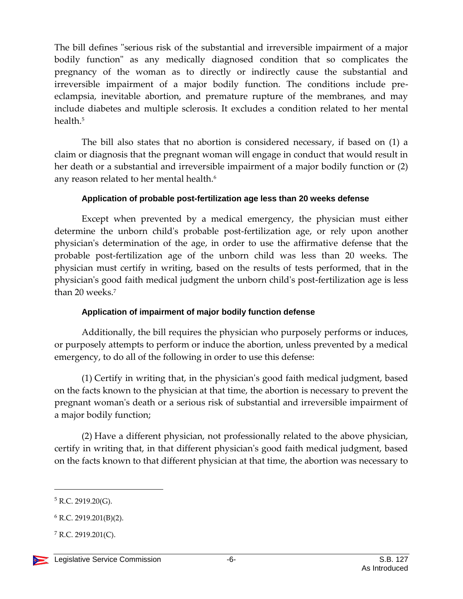The bill defines "serious risk of the substantial and irreversible impairment of a major bodily function" as any medically diagnosed condition that so complicates the pregnancy of the woman as to directly or indirectly cause the substantial and irreversible impairment of a major bodily function. The conditions include preeclampsia, inevitable abortion, and premature rupture of the membranes, and may include diabetes and multiple sclerosis. It excludes a condition related to her mental health.<sup>5</sup>

The bill also states that no abortion is considered necessary, if based on (1) a claim or diagnosis that the pregnant woman will engage in conduct that would result in her death or a substantial and irreversible impairment of a major bodily function or (2) any reason related to her mental health.<sup>6</sup>

#### **Application of probable post-fertilization age less than 20 weeks defense**

<span id="page-5-0"></span>Except when prevented by a medical emergency, the physician must either determine the unborn child's probable post-fertilization age, or rely upon another physician's determination of the age, in order to use the affirmative defense that the probable post-fertilization age of the unborn child was less than 20 weeks. The physician must certify in writing, based on the results of tests performed, that in the physician's good faith medical judgment the unborn child's post-fertilization age is less than 20 weeks.<sup>7</sup>

#### **Application of impairment of major bodily function defense**

<span id="page-5-1"></span>Additionally, the bill requires the physician who purposely performs or induces, or purposely attempts to perform or induce the abortion, unless prevented by a medical emergency, to do all of the following in order to use this defense:

(1) Certify in writing that, in the physician's good faith medical judgment, based on the facts known to the physician at that time, the abortion is necessary to prevent the pregnant woman's death or a serious risk of substantial and irreversible impairment of a major bodily function;

(2) Have a different physician, not professionally related to the above physician, certify in writing that, in that different physician's good faith medical judgment, based on the facts known to that different physician at that time, the abortion was necessary to

 $5$  R.C. 2919.20(G).

 $6$  R.C. 2919.201(B)(2).

 $7$  R.C. 2919.201(C).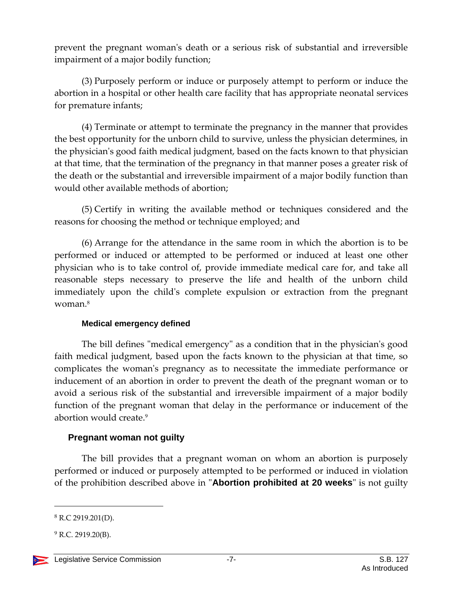prevent the pregnant woman's death or a serious risk of substantial and irreversible impairment of a major bodily function;

(3) Purposely perform or induce or purposely attempt to perform or induce the abortion in a hospital or other health care facility that has appropriate neonatal services for premature infants;

(4) Terminate or attempt to terminate the pregnancy in the manner that provides the best opportunity for the unborn child to survive, unless the physician determines, in the physician's good faith medical judgment, based on the facts known to that physician at that time, that the termination of the pregnancy in that manner poses a greater risk of the death or the substantial and irreversible impairment of a major bodily function than would other available methods of abortion;

(5) Certify in writing the available method or techniques considered and the reasons for choosing the method or technique employed; and

(6) Arrange for the attendance in the same room in which the abortion is to be performed or induced or attempted to be performed or induced at least one other physician who is to take control of, provide immediate medical care for, and take all reasonable steps necessary to preserve the life and health of the unborn child immediately upon the child's complete expulsion or extraction from the pregnant woman $8$ 

## **Medical emergency defined**

<span id="page-6-0"></span>The bill defines "medical emergency" as a condition that in the physician's good faith medical judgment, based upon the facts known to the physician at that time, so complicates the woman's pregnancy as to necessitate the immediate performance or inducement of an abortion in order to prevent the death of the pregnant woman or to avoid a serious risk of the substantial and irreversible impairment of a major bodily function of the pregnant woman that delay in the performance or inducement of the abortion would create  $9$ 

## <span id="page-6-1"></span>**Pregnant woman not guilty**

The bill provides that a pregnant woman on whom an abortion is purposely performed or induced or purposely attempted to be performed or induced in violation of the prohibition described above in "**Abortion prohibited at 20 weeks**" is not guilty

l

<sup>8</sup> R.C 2919.201(D).

 $^{9}$  R.C. 2919.20(B).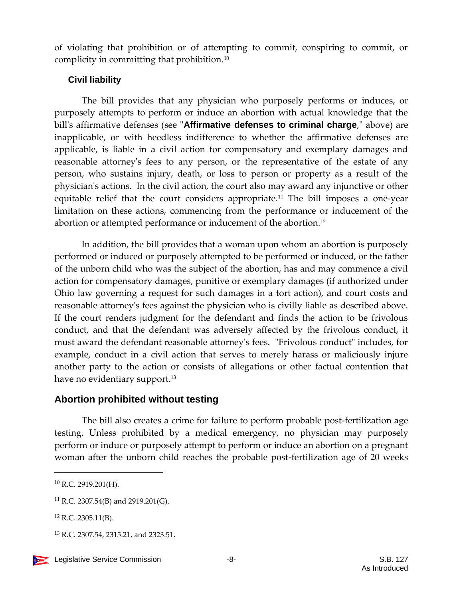of violating that prohibition or of attempting to commit, conspiring to commit, or complicity in committing that prohibition.<sup>10</sup>

## <span id="page-7-0"></span>**Civil liability**

The bill provides that any physician who purposely performs or induces, or purposely attempts to perform or induce an abortion with actual knowledge that the bill's affirmative defenses (see "**Affirmative defenses to criminal charge**," above) are inapplicable, or with heedless indifference to whether the affirmative defenses are applicable, is liable in a civil action for compensatory and exemplary damages and reasonable attorney's fees to any person, or the representative of the estate of any person, who sustains injury, death, or loss to person or property as a result of the physician's actions. In the civil action, the court also may award any injunctive or other equitable relief that the court considers appropriate.<sup>11</sup> The bill imposes a one-year limitation on these actions, commencing from the performance or inducement of the abortion or attempted performance or inducement of the abortion.<sup>12</sup>

In addition, the bill provides that a woman upon whom an abortion is purposely performed or induced or purposely attempted to be performed or induced, or the father of the unborn child who was the subject of the abortion, has and may commence a civil action for compensatory damages, punitive or exemplary damages (if authorized under Ohio law governing a request for such damages in a tort action), and court costs and reasonable attorney's fees against the physician who is civilly liable as described above. If the court renders judgment for the defendant and finds the action to be frivolous conduct, and that the defendant was adversely affected by the frivolous conduct, it must award the defendant reasonable attorney's fees. "Frivolous conduct" includes, for example, conduct in a civil action that serves to merely harass or maliciously injure another party to the action or consists of allegations or other factual contention that have no evidentiary support.<sup>13</sup>

# <span id="page-7-1"></span>**Abortion prohibited without testing**

The bill also creates a crime for failure to perform probable post-fertilization age testing. Unless prohibited by a medical emergency, no physician may purposely perform or induce or purposely attempt to perform or induce an abortion on a pregnant woman after the unborn child reaches the probable post-fertilization age of 20 weeks

 $10$  R.C. 2919.201(H).

 $11$  R.C. 2307.54(B) and 2919.201(G).

 $12$  R.C. 2305.11(B).

<sup>&</sup>lt;sup>13</sup> R.C. 2307.54, 2315.21, and 2323.51.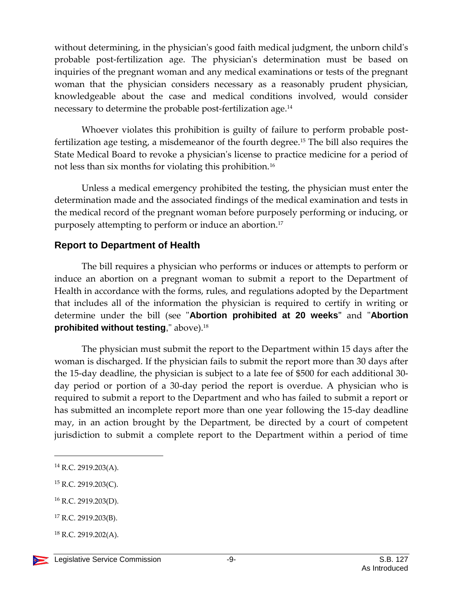without determining, in the physician's good faith medical judgment, the unborn child's probable post-fertilization age. The physician's determination must be based on inquiries of the pregnant woman and any medical examinations or tests of the pregnant woman that the physician considers necessary as a reasonably prudent physician, knowledgeable about the case and medical conditions involved, would consider necessary to determine the probable post-fertilization age.<sup>14</sup>

Whoever violates this prohibition is guilty of failure to perform probable postfertilization age testing, a misdemeanor of the fourth degree.<sup>15</sup> The bill also requires the State Medical Board to revoke a physician's license to practice medicine for a period of not less than six months for violating this prohibition.<sup>16</sup>

Unless a medical emergency prohibited the testing, the physician must enter the determination made and the associated findings of the medical examination and tests in the medical record of the pregnant woman before purposely performing or inducing, or purposely attempting to perform or induce an abortion.<sup>17</sup>

# <span id="page-8-0"></span>**Report to Department of Health**

The bill requires a physician who performs or induces or attempts to perform or induce an abortion on a pregnant woman to submit a report to the Department of Health in accordance with the forms, rules, and regulations adopted by the Department that includes all of the information the physician is required to certify in writing or determine under the bill (see "**Abortion prohibited at 20 weeks"** and "**Abortion prohibited without testing**," above).<sup>18</sup>

The physician must submit the report to the Department within 15 days after the woman is discharged. If the physician fails to submit the report more than 30 days after the 15-day deadline, the physician is subject to a late fee of \$500 for each additional 30 day period or portion of a 30-day period the report is overdue. A physician who is required to submit a report to the Department and who has failed to submit a report or has submitted an incomplete report more than one year following the 15-day deadline may, in an action brought by the Department, be directed by a court of competent jurisdiction to submit a complete report to the Department within a period of time

 $\overline{a}$ 

<sup>16</sup> R.C. 2919.203(D).

 $14$  R.C. 2919.203(A).

<sup>15</sup> R.C. 2919.203(C).

<sup>17</sup> R.C. 2919.203(B).

 $18$  R.C. 2919.202(A).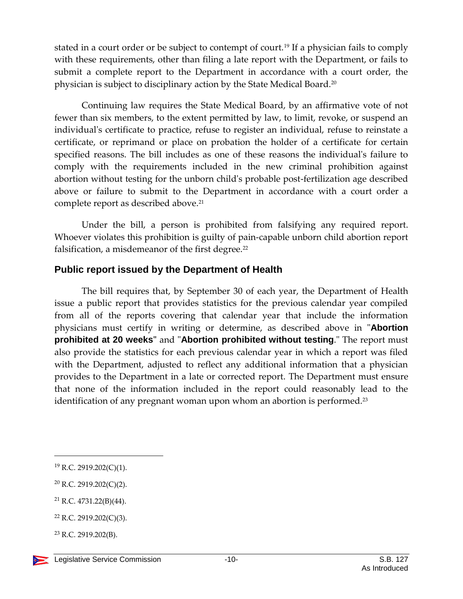stated in a court order or be subject to contempt of court.<sup>19</sup> If a physician fails to comply with these requirements, other than filing a late report with the Department, or fails to submit a complete report to the Department in accordance with a court order, the physician is subject to disciplinary action by the State Medical Board.<sup>20</sup>

Continuing law requires the State Medical Board, by an affirmative vote of not fewer than six members, to the extent permitted by law, to limit, revoke, or suspend an individual's certificate to practice, refuse to register an individual, refuse to reinstate a certificate, or reprimand or place on probation the holder of a certificate for certain specified reasons. The bill includes as one of these reasons the individual's failure to comply with the requirements included in the new criminal prohibition against abortion without testing for the unborn child's probable post-fertilization age described above or failure to submit to the Department in accordance with a court order a complete report as described above.<sup>21</sup>

Under the bill, a person is prohibited from falsifying any required report. Whoever violates this prohibition is guilty of pain-capable unborn child abortion report falsification, a misdemeanor of the first degree.<sup>22</sup>

# <span id="page-9-0"></span>**Public report issued by the Department of Health**

The bill requires that, by September 30 of each year, the Department of Health issue a public report that provides statistics for the previous calendar year compiled from all of the reports covering that calendar year that include the information physicians must certify in writing or determine, as described above in "**Abortion prohibited at 20 weeks"** and "**Abortion prohibited without testing**." The report must also provide the statistics for each previous calendar year in which a report was filed with the Department, adjusted to reflect any additional information that a physician provides to the Department in a late or corrected report. The Department must ensure that none of the information included in the report could reasonably lead to the identification of any pregnant woman upon whom an abortion is performed.<sup>23</sup>

<sup>19</sup> R.C. 2919.202(C)(1).

<sup>20</sup> R.C. 2919.202(C)(2).

<sup>21</sup> R.C. 4731.22(B)(44).

<sup>22</sup> R.C. 2919.202(C)(3).

 $23$  R.C. 2919.202(B).